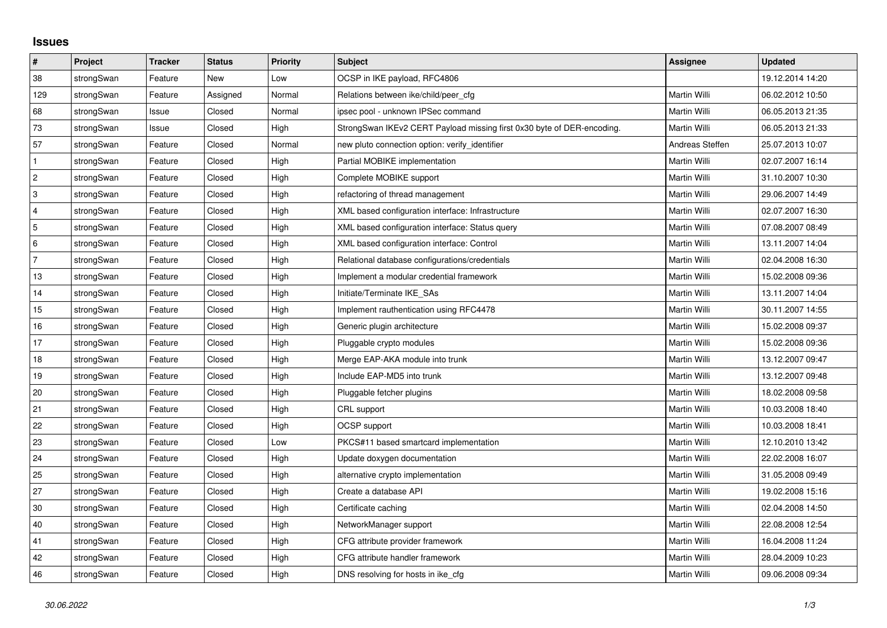## **Issues**

| $\vert$ #      | Project    | <b>Tracker</b> | <b>Status</b> | <b>Priority</b> | <b>Subject</b>                                                         | <b>Assignee</b> | <b>Updated</b>   |
|----------------|------------|----------------|---------------|-----------------|------------------------------------------------------------------------|-----------------|------------------|
| 38             | strongSwan | Feature        | New           | Low             | OCSP in IKE payload, RFC4806                                           |                 | 19.12.2014 14:20 |
| 129            | strongSwan | Feature        | Assigned      | Normal          | Relations between ike/child/peer cfg                                   | Martin Willi    | 06.02.2012 10:50 |
| 68             | strongSwan | Issue          | Closed        | Normal          | ipsec pool - unknown IPSec command                                     | Martin Willi    | 06.05.2013 21:35 |
| 73             | strongSwan | Issue          | Closed        | High            | StrongSwan IKEv2 CERT Payload missing first 0x30 byte of DER-encoding. | Martin Willi    | 06.05.2013 21:33 |
| 57             | strongSwan | Feature        | Closed        | Normal          | new pluto connection option: verify_identifier                         | Andreas Steffen | 25.07.2013 10:07 |
| $\mathbf{1}$   | strongSwan | Feature        | Closed        | High            | Partial MOBIKE implementation                                          | Martin Willi    | 02.07.2007 16:14 |
| $\overline{2}$ | strongSwan | Feature        | Closed        | High            | Complete MOBIKE support                                                | Martin Willi    | 31.10.2007 10:30 |
| 3              | strongSwan | Feature        | Closed        | High            | refactoring of thread management                                       | Martin Willi    | 29.06.2007 14:49 |
| 4              | strongSwan | Feature        | Closed        | High            | XML based configuration interface: Infrastructure                      | Martin Willi    | 02.07.2007 16:30 |
| 5              | strongSwan | Feature        | Closed        | High            | XML based configuration interface: Status query                        | Martin Willi    | 07.08.2007 08:49 |
| 6              | strongSwan | Feature        | Closed        | High            | XML based configuration interface: Control                             | Martin Willi    | 13.11.2007 14:04 |
| $\overline{7}$ | strongSwan | Feature        | Closed        | High            | Relational database configurations/credentials                         | Martin Willi    | 02.04.2008 16:30 |
| 13             | strongSwan | Feature        | Closed        | High            | Implement a modular credential framework                               | Martin Willi    | 15.02.2008 09:36 |
| 14             | strongSwan | Feature        | Closed        | High            | Initiate/Terminate IKE_SAs                                             | Martin Willi    | 13.11.2007 14:04 |
| 15             | strongSwan | Feature        | Closed        | High            | Implement rauthentication using RFC4478                                | Martin Willi    | 30.11.2007 14:55 |
| 16             | strongSwan | Feature        | Closed        | High            | Generic plugin architecture                                            | Martin Willi    | 15.02.2008 09:37 |
| 17             | strongSwan | Feature        | Closed        | High            | Pluggable crypto modules                                               | Martin Willi    | 15.02.2008 09:36 |
| 18             | strongSwan | Feature        | Closed        | High            | Merge EAP-AKA module into trunk                                        | Martin Willi    | 13.12.2007 09:47 |
| 19             | strongSwan | Feature        | Closed        | High            | Include EAP-MD5 into trunk                                             | Martin Willi    | 13.12.2007 09:48 |
| 20             | strongSwan | Feature        | Closed        | High            | Pluggable fetcher plugins                                              | Martin Willi    | 18.02.2008 09:58 |
| 21             | strongSwan | Feature        | Closed        | High            | CRL support                                                            | Martin Willi    | 10.03.2008 18:40 |
| 22             | strongSwan | Feature        | Closed        | High            | OCSP support                                                           | Martin Willi    | 10.03.2008 18:41 |
| 23             | strongSwan | Feature        | Closed        | Low             | PKCS#11 based smartcard implementation                                 | Martin Willi    | 12.10.2010 13:42 |
| 24             | strongSwan | Feature        | Closed        | High            | Update doxygen documentation                                           | Martin Willi    | 22.02.2008 16:07 |
| 25             | strongSwan | Feature        | Closed        | High            | alternative crypto implementation                                      | Martin Willi    | 31.05.2008 09:49 |
| 27             | strongSwan | Feature        | Closed        | High            | Create a database API                                                  | Martin Willi    | 19.02.2008 15:16 |
| $30\,$         | strongSwan | Feature        | Closed        | High            | Certificate caching                                                    | Martin Willi    | 02.04.2008 14:50 |
| 40             | strongSwan | Feature        | Closed        | High            | NetworkManager support                                                 | Martin Willi    | 22.08.2008 12:54 |
| 41             | strongSwan | Feature        | Closed        | High            | CFG attribute provider framework                                       | Martin Willi    | 16.04.2008 11:24 |
| 42             | strongSwan | Feature        | Closed        | High            | CFG attribute handler framework                                        | Martin Willi    | 28.04.2009 10:23 |
| 46             | strongSwan | Feature        | Closed        | High            | DNS resolving for hosts in ike cfg                                     | Martin Willi    | 09.06.2008 09:34 |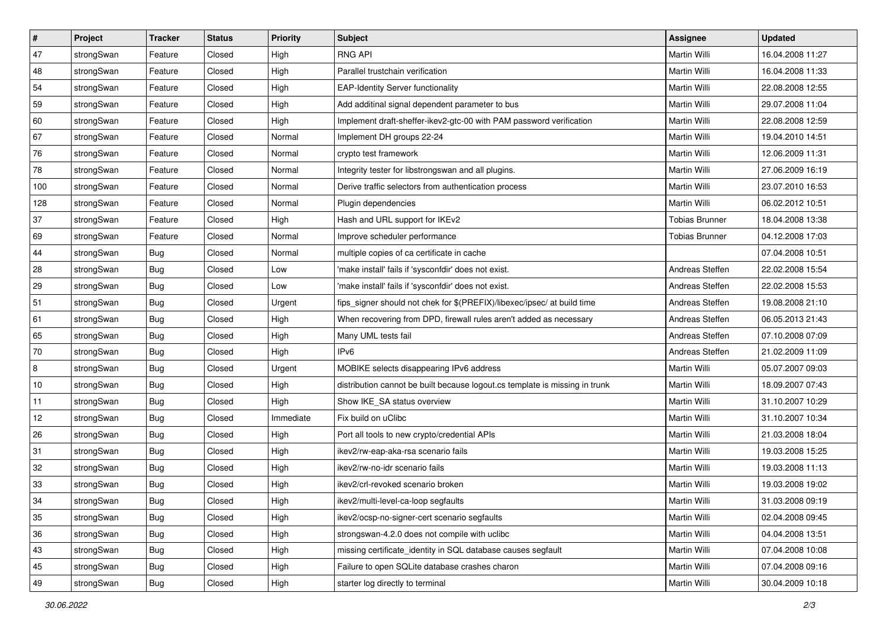| $\vert$ # | Project    | <b>Tracker</b> | <b>Status</b> | <b>Priority</b> | <b>Subject</b>                                                              | <b>Assignee</b>       | <b>Updated</b>   |
|-----------|------------|----------------|---------------|-----------------|-----------------------------------------------------------------------------|-----------------------|------------------|
| 47        | strongSwan | Feature        | Closed        | High            | <b>RNG API</b>                                                              | Martin Willi          | 16.04.2008 11:27 |
| 48        | strongSwan | Feature        | Closed        | High            | Parallel trustchain verification                                            | <b>Martin Willi</b>   | 16.04.2008 11:33 |
| 54        | strongSwan | Feature        | Closed        | High            | <b>EAP-Identity Server functionality</b>                                    | Martin Willi          | 22.08.2008 12:55 |
| 59        | strongSwan | Feature        | Closed        | High            | Add additinal signal dependent parameter to bus                             | Martin Willi          | 29.07.2008 11:04 |
| 60        | strongSwan | Feature        | Closed        | High            | Implement draft-sheffer-ikev2-gtc-00 with PAM password verification         | Martin Willi          | 22.08.2008 12:59 |
| 67        | strongSwan | Feature        | Closed        | Normal          | Implement DH groups 22-24                                                   | Martin Willi          | 19.04.2010 14:51 |
| 76        | strongSwan | Feature        | Closed        | Normal          | crypto test framework                                                       | Martin Willi          | 12.06.2009 11:31 |
| 78        | strongSwan | Feature        | Closed        | Normal          | Integrity tester for libstrongswan and all plugins.                         | Martin Willi          | 27.06.2009 16:19 |
| 100       | strongSwan | Feature        | Closed        | Normal          | Derive traffic selectors from authentication process                        | Martin Willi          | 23.07.2010 16:53 |
| 128       | strongSwan | Feature        | Closed        | Normal          | Plugin dependencies                                                         | <b>Martin Willi</b>   | 06.02.2012 10:51 |
| 37        | strongSwan | Feature        | Closed        | High            | Hash and URL support for IKEv2                                              | <b>Tobias Brunner</b> | 18.04.2008 13:38 |
| 69        | strongSwan | Feature        | Closed        | Normal          | Improve scheduler performance                                               | <b>Tobias Brunner</b> | 04.12.2008 17:03 |
| 44        | strongSwan | Bug            | Closed        | Normal          | multiple copies of ca certificate in cache                                  |                       | 07.04.2008 10:51 |
| 28        | strongSwan | Bug            | Closed        | Low             | 'make install' fails if 'sysconfdir' does not exist.                        | Andreas Steffen       | 22.02.2008 15:54 |
| 29        | strongSwan | Bug            | Closed        | Low             | 'make install' fails if 'sysconfdir' does not exist.                        | Andreas Steffen       | 22.02.2008 15:53 |
| 51        | strongSwan | <b>Bug</b>     | Closed        | Urgent          | fips signer should not chek for \$(PREFIX)/libexec/ipsec/ at build time     | Andreas Steffen       | 19.08.2008 21:10 |
| 61        | strongSwan | <b>Bug</b>     | Closed        | High            | When recovering from DPD, firewall rules aren't added as necessary          | Andreas Steffen       | 06.05.2013 21:43 |
| 65        | strongSwan | Bug            | Closed        | High            | Many UML tests fail                                                         | Andreas Steffen       | 07.10.2008 07:09 |
| 70        | strongSwan | Bug            | Closed        | High            | IP <sub>v6</sub>                                                            | Andreas Steffen       | 21.02.2009 11:09 |
| 8         | strongSwan | Bug            | Closed        | Urgent          | MOBIKE selects disappearing IPv6 address                                    | <b>Martin Willi</b>   | 05.07.2007 09:03 |
| 10        | strongSwan | Bug            | Closed        | High            | distribution cannot be built because logout.cs template is missing in trunk | Martin Willi          | 18.09.2007 07:43 |
| 11        | strongSwan | <b>Bug</b>     | Closed        | High            | Show IKE_SA status overview                                                 | Martin Willi          | 31.10.2007 10:29 |
| 12        | strongSwan | Bug            | Closed        | Immediate       | Fix build on uClibc                                                         | Martin Willi          | 31.10.2007 10:34 |
| 26        | strongSwan | Bug            | Closed        | High            | Port all tools to new crypto/credential APIs                                | Martin Willi          | 21.03.2008 18:04 |
| 31        | strongSwan | <b>Bug</b>     | Closed        | High            | ikev2/rw-eap-aka-rsa scenario fails                                         | Martin Willi          | 19.03.2008 15:25 |
| 32        | strongSwan | Bug            | Closed        | High            | ikev2/rw-no-idr scenario fails                                              | Martin Willi          | 19.03.2008 11:13 |
| 33        | strongSwan | Bug            | Closed        | High            | ikev2/crl-revoked scenario broken                                           | Martin Willi          | 19.03.2008 19:02 |
| 34        | strongSwan | Bug            | Closed        | High            | ikev2/multi-level-ca-loop segfaults                                         | Martin Willi          | 31.03.2008 09:19 |
| 35        | strongSwan | Bug            | Closed        | High            | ikev2/ocsp-no-signer-cert scenario segfaults                                | Martin Willi          | 02.04.2008 09:45 |
| 36        | strongSwan | Bug            | Closed        | High            | strongswan-4.2.0 does not compile with uclibc                               | Martin Willi          | 04.04.2008 13:51 |
| 43        | strongSwan | Bug            | Closed        | High            | missing certificate_identity in SQL database causes segfault                | Martin Willi          | 07.04.2008 10:08 |
| 45        | strongSwan | Bug            | Closed        | High            | Failure to open SQLite database crashes charon                              | Martin Willi          | 07.04.2008 09:16 |
| 49        | strongSwan | <b>Bug</b>     | Closed        | High            | starter log directly to terminal                                            | Martin Willi          | 30.04.2009 10:18 |